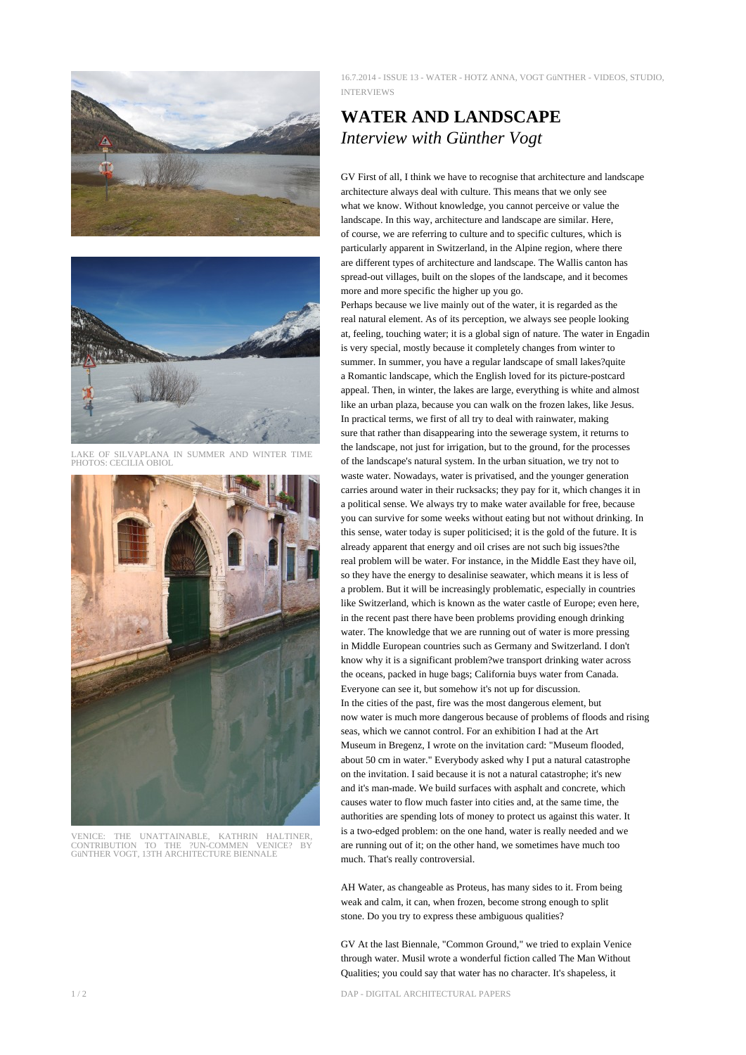



LAKE OF SILVAPLANA IN SUMMER AND WINTER TIME PHOTOS: CECILIA OBIOL



VENICE: THE UNATTAINABLE, KATHRIN HALTINER, CONTRIBUTION TO THE ?UN-COMMEN VENICE? BY GüNTHER VOGT, 13TH ARCHITECTURE BIENNALE

16.7.2014 - ISSUE 13 - WATER - HOTZ ANNA, VOGT GüNTHER - VIDEOS, STUDIO, INTERVIEWS

## **WATER AND LANDSCAPE** *Interview with Günther Vogt*

GV First of all, I think we have to recognise that architecture and landscape architecture always deal with culture. This means that we only see what we know. Without knowledge, you cannot perceive or value the landscape. In this way, architecture and landscape are similar. Here, of course, we are referring to culture and to specific cultures, which is particularly apparent in Switzerland, in the Alpine region, where there are different types of architecture and landscape. The Wallis canton has spread-out villages, built on the slopes of the landscape, and it becomes more and more specific the higher up you go.

Perhaps because we live mainly out of the water, it is regarded as the real natural element. As of its perception, we always see people looking at, feeling, touching water; it is a global sign of nature. The water in Engadin is very special, mostly because it completely changes from winter to summer. In summer, you have a regular landscape of small lakes?quite a Romantic landscape, which the English loved for its picture-postcard appeal. Then, in winter, the lakes are large, everything is white and almost like an urban plaza, because you can walk on the frozen lakes, like Jesus. In practical terms, we first of all try to deal with rainwater, making sure that rather than disappearing into the sewerage system, it returns to the landscape, not just for irrigation, but to the ground, for the processes of the landscape's natural system. In the urban situation, we try not to waste water. Nowadays, water is privatised, and the younger generation carries around water in their rucksacks; they pay for it, which changes it in a political sense. We always try to make water available for free, because you can survive for some weeks without eating but not without drinking. In this sense, water today is super politicised; it is the gold of the future. It is already apparent that energy and oil crises are not such big issues?the real problem will be water. For instance, in the Middle East they have oil, so they have the energy to desalinise seawater, which means it is less of a problem. But it will be increasingly problematic, especially in countries like Switzerland, which is known as the water castle of Europe; even here, in the recent past there have been problems providing enough drinking water. The knowledge that we are running out of water is more pressing in Middle European countries such as Germany and Switzerland. I don't know why it is a significant problem?we transport drinking water across the oceans, packed in huge bags; California buys water from Canada. Everyone can see it, but somehow it's not up for discussion. In the cities of the past, fire was the most dangerous element, but now water is much more dangerous because of problems of floods and rising seas, which we cannot control. For an exhibition I had at the Art Museum in Bregenz, I wrote on the invitation card: "Museum flooded, about 50 cm in water." Everybody asked why I put a natural catastrophe on the invitation. I said because it is not a natural catastrophe; it's new and it's man-made. We build surfaces with asphalt and concrete, which causes water to flow much faster into cities and, at the same time, the authorities are spending lots of money to protect us against this water. It is a two-edged problem: on the one hand, water is really needed and we are running out of it; on the other hand, we sometimes have much too much. That's really controversial.

AH Water, as changeable as Proteus, has many sides to it. From being weak and calm, it can, when frozen, become strong enough to split stone. Do you try to express these ambiguous qualities?

GV At the last Biennale, "Common Ground," we tried to explain Venice through water. Musil wrote a wonderful fiction called The Man Without Qualities; you could say that water has no character. It's shapeless, it